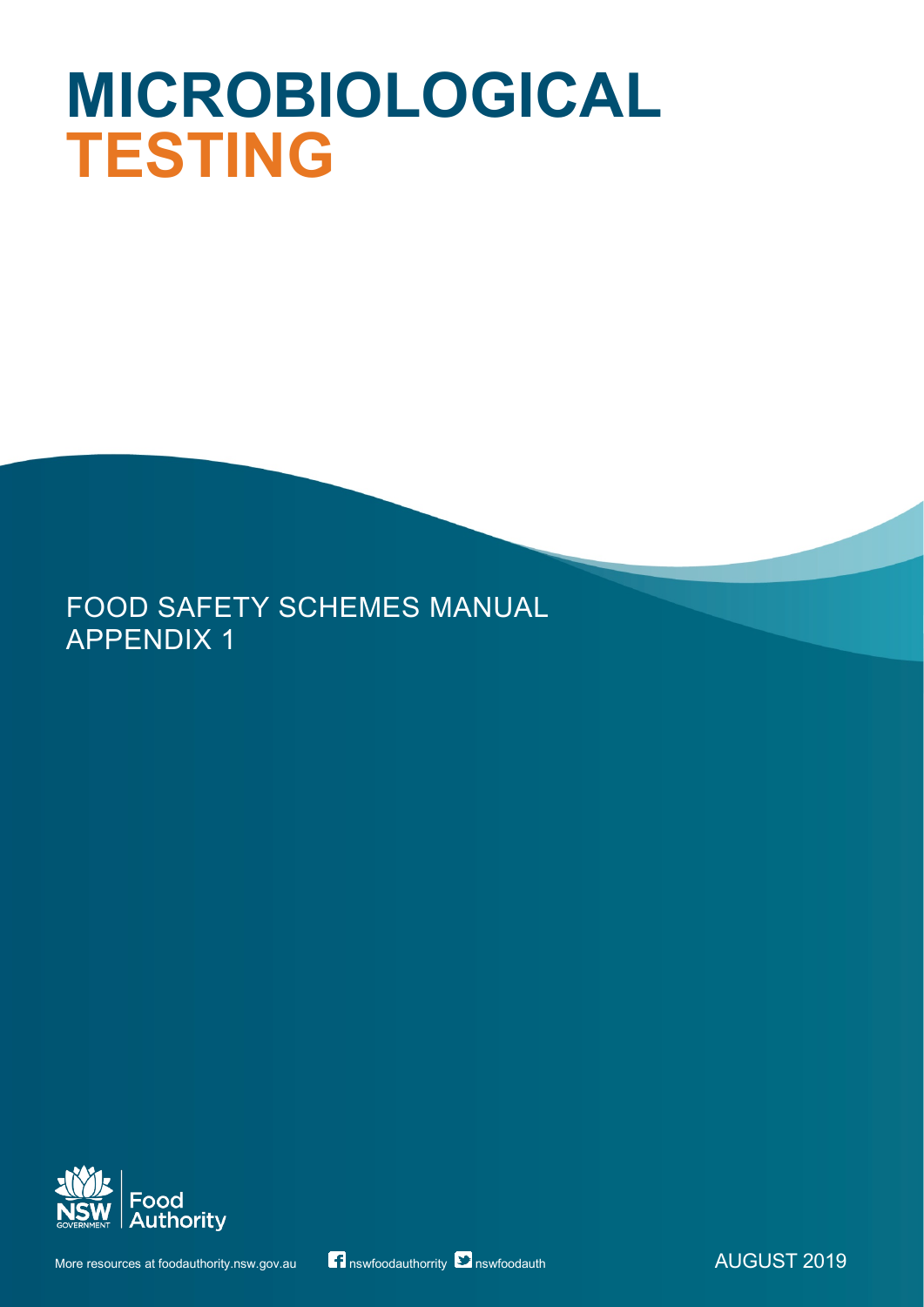# **MICROBIOLOGICAL TESTING**

# FOOD SAFETY SCHEMES MANUAL APPENDIX 1





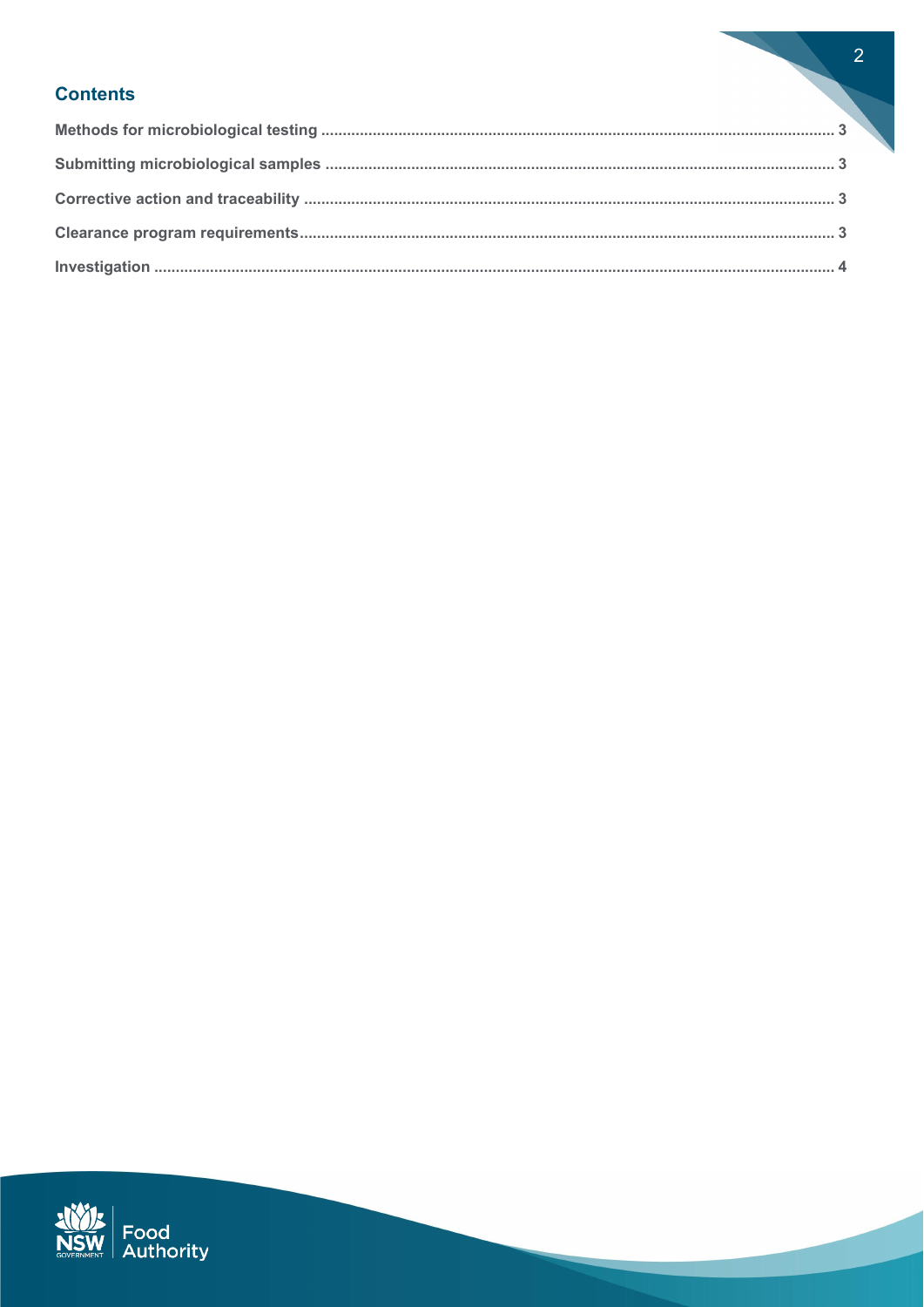## **Contents**

| <b>Contents</b> |  |
|-----------------|--|
|                 |  |
|                 |  |
|                 |  |
|                 |  |
|                 |  |

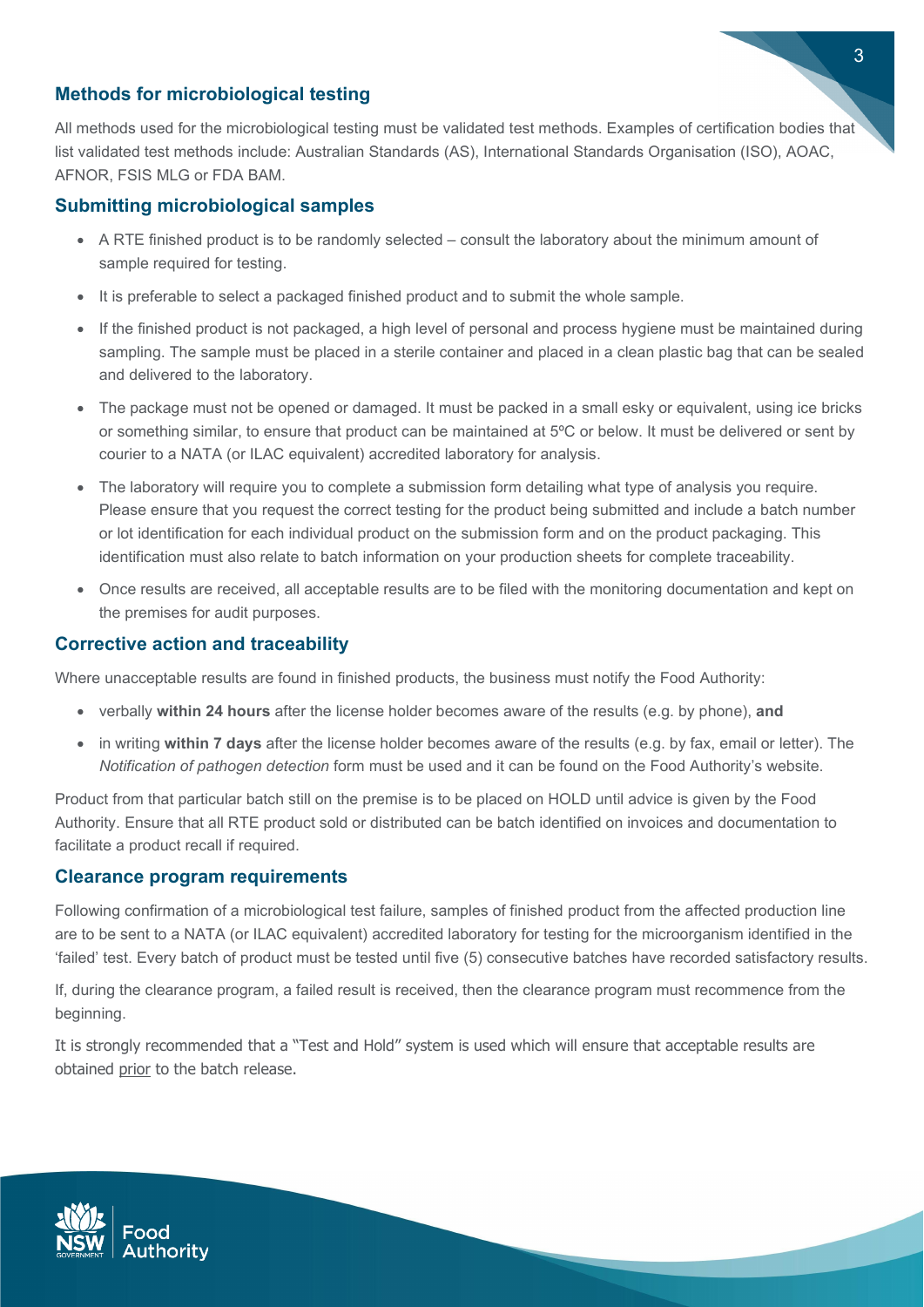#### **Methods for microbiological testing**

All methods used for the microbiological testing must be validated test methods. Examples of certification bodies that list validated test methods include: Australian Standards (AS), International Standards Organisation (ISO), AOAC, AFNOR, FSIS MLG or FDA BAM.

#### **Submitting microbiological samples**

- A RTE finished product is to be randomly selected consult the laboratory about the minimum amount of sample required for testing.
- It is preferable to select a packaged finished product and to submit the whole sample.
- If the finished product is not packaged, a high level of personal and process hygiene must be maintained during sampling. The sample must be placed in a sterile container and placed in a clean plastic bag that can be sealed and delivered to the laboratory.
- The package must not be opened or damaged. It must be packed in a small esky or equivalent, using ice bricks or something similar, to ensure that product can be maintained at 5ºC or below. It must be delivered or sent by courier to a NATA (or ILAC equivalent) accredited laboratory for analysis.
- The laboratory will require you to complete a submission form detailing what type of analysis you require. Please ensure that you request the correct testing for the product being submitted and include a batch number or lot identification for each individual product on the submission form and on the product packaging. This identification must also relate to batch information on your production sheets for complete traceability.
- Once results are received, all acceptable results are to be filed with the monitoring documentation and kept on the premises for audit purposes.

#### **Corrective action and traceability**

Where unacceptable results are found in finished products, the business must notify the Food Authority:

- verbally **within 24 hours** after the license holder becomes aware of the results (e.g. by phone), **and**
- in writing **within 7 days** after the license holder becomes aware of the results (e.g. by fax, email or letter). The *Notification of pathogen detection* form must be used and it can be found on the Food Authority's website.

Product from that particular batch still on the premise is to be placed on HOLD until advice is given by the Food Authority. Ensure that all RTE product sold or distributed can be batch identified on invoices and documentation to facilitate a product recall if required.

#### **Clearance program requirements**

Following confirmation of a microbiological test failure, samples of finished product from the affected production line are to be sent to a NATA (or ILAC equivalent) accredited laboratory for testing for the microorganism identified in the 'failed' test. Every batch of product must be tested until five (5) consecutive batches have recorded satisfactory results.

If, during the clearance program, a failed result is received, then the clearance program must recommence from the beginning.

It is strongly recommended that a "Test and Hold" system is used which will ensure that acceptable results are obtained prior to the batch release.

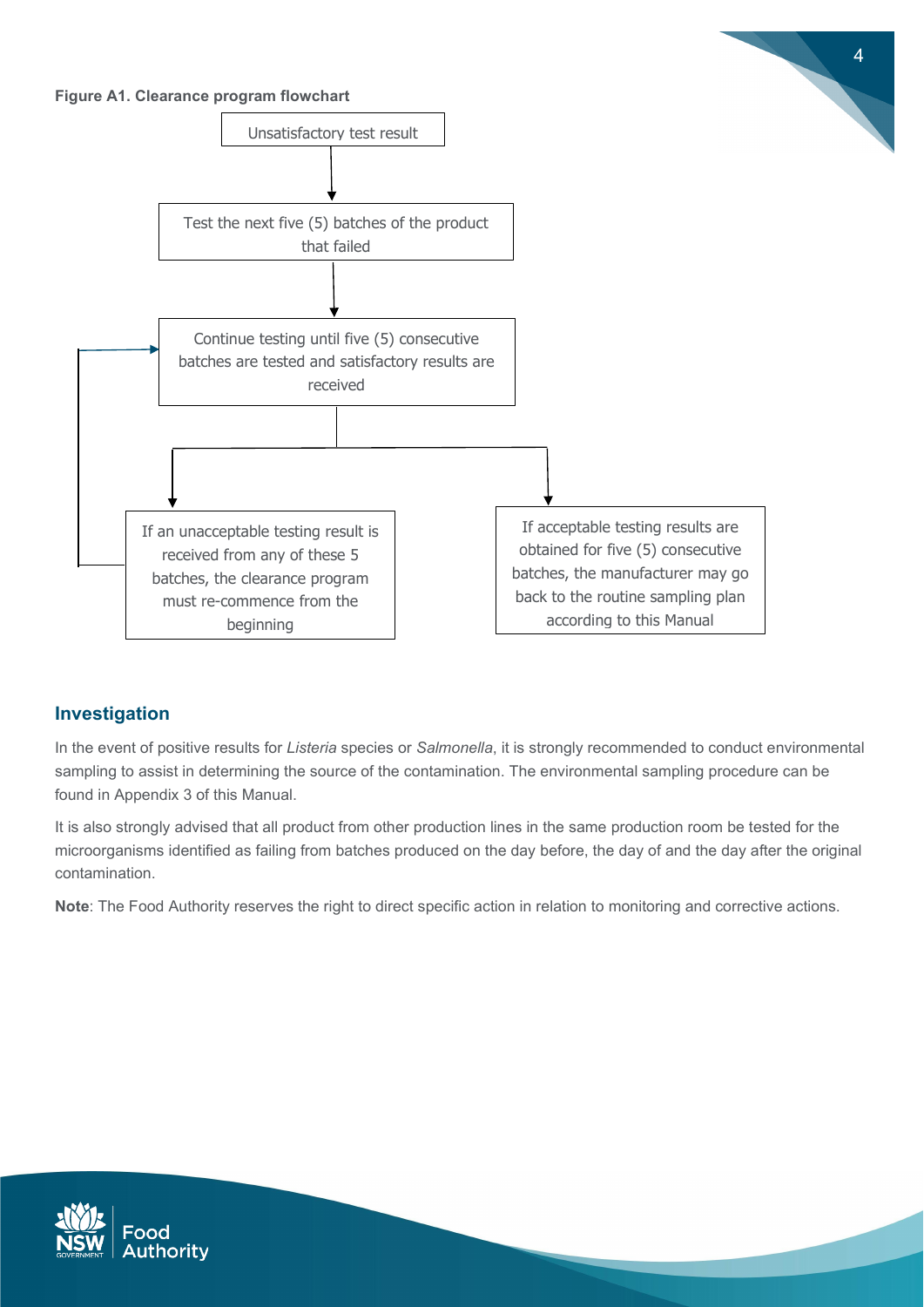



 $\boldsymbol{\varLambda}$ 

### **Investigation**

In the event of positive results for *Listeria* species or *Salmonella*, it is strongly recommended to conduct environmental sampling to assist in determining the source of the contamination. The environmental sampling procedure can be found in Appendix 3 of this Manual.

It is also strongly advised that all product from other production lines in the same production room be tested for the microorganisms identified as failing from batches produced on the day before, the day of and the day after the original contamination.

**Note**: The Food Authority reserves the right to direct specific action in relation to monitoring and corrective actions.